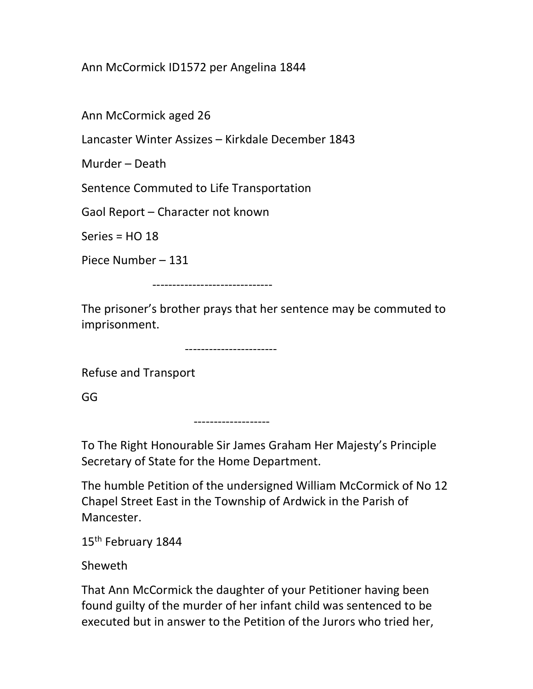Ann McCormick ID1572 per Angelina 1844

Ann McCormick aged 26

Lancaster Winter Assizes – Kirkdale December 1843

Murder – Death

Sentence Commuted to Life Transportation

Gaol Report – Character not known

Series =  $HO$  18

Piece Number – 131

------------------------------

The prisoner's brother prays that her sentence may be commuted to imprisonment.

-----------------------

Refuse and Transport

GG

-------------------

To The Right Honourable Sir James Graham Her Majesty's Principle Secretary of State for the Home Department.

The humble Petition of the undersigned William McCormick of No 12 Chapel Street East in the Township of Ardwick in the Parish of Mancester.

15<sup>th</sup> February 1844

Sheweth

That Ann McCormick the daughter of your Petitioner having been found guilty of the murder of her infant child was sentenced to be executed but in answer to the Petition of the Jurors who tried her,